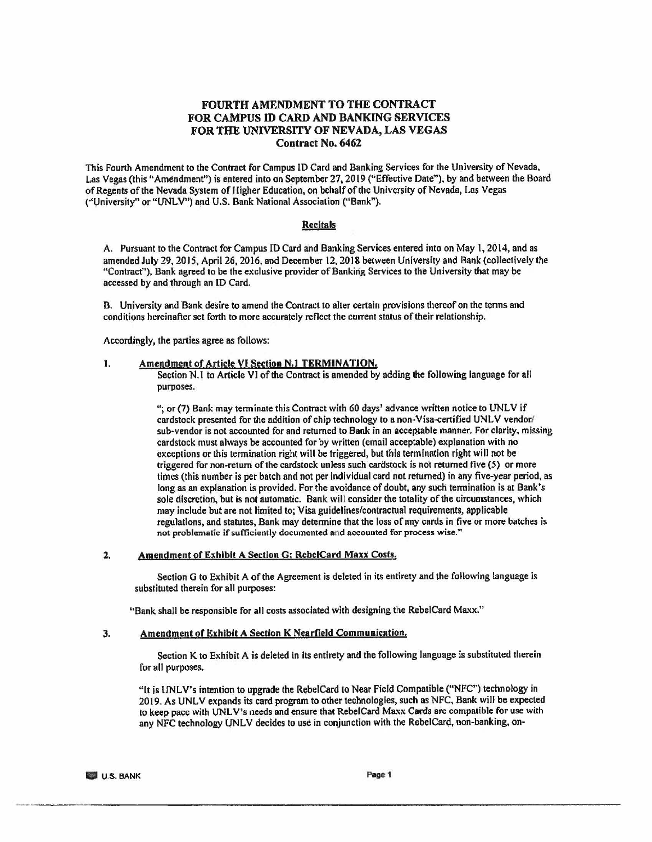# **FOURTH AMENDMENT TO THE CONTRACT FOR CAMPUS** ID **CARD AND BANKING SERVICES FOR THE UNIVERSITY OF NEVADA, LAS VEGAS Contract No. 6462**

This Fourth Amendment to the Contract for Campus ID Card and Banking Services for the University of Nevada, Las Vegas (this "Amendment") is entered into on September 27, 2019 ("Effective Date"). by and between the Board of Regents of the Nevada System of Higher Education, on behalf of the University of Nevada, Las Vegas ("University" or "UNLV") and U.S. Bank National Association ("Bank").

#### **Recitals**

A. Pursuant to the Contract for Campus ID Card and Banking Services entered into on May 1, 2014, and as amended July 29, 20 IS, April 26, 2016, and December 12, 2018 between University and Bank (collectively the "Contract"), Bank agreed to be the exclusive provider of Banking Services to the University that may be accessed by and through an ID Card.

B. University and Bank desire to amend the Contract to alter certain provisions thereof on the tenns and conditions hereinafter set forth to more accurately reflect the current status of their relationship.

Accordingly, the parties agree as follows:

### 1. Amendment of Article VI Section N.1 TERMINATION.

Section N.1 to Article VI of the Contract is amended by adding the following language for all purposes.

"; or (7) Bank may terminate this Contract with 60 days' advance written notice to UNLV if cardstock presented for the addition of chip technology to a non-Visa-certified UNLV vendor/ sub-vendor is not accounted for and returned to Bank in an acceptable manner, For clarity, missing cardstock must always be accounted for by written (email acceptable) explanation with no exceptions or this termination right will be triggered, but this termination right will not be triggered for non-return of the cardstock unless such cardstock is not returned five  $(5)$  or more times (this number is per batch and not per individual card not returned) in any five-year period, as long as an explanation is provided. For the avoidance of doubt, any such termination is at Bank's sole discretion, but is not automatic. Bank will consider the totality of the circumstances, which may include but are not limited to; Visa guidelines/contractual requirements, applicable regulations, and statutes, Bank may determine that the loss of any cards in five or more batches is not problematic if sufficiently documented and accounted for process wise."

#### 2. Amendment of Exhibit A Section G: RebelCard **Maxx** Costs.

Section G to Exhibit A of the Agreement is deleted in its entirety and the following language is substituted therein for all purposes:

"Bank shall be responsible for all costs associated with designing the RebelCard Maxx."

### 3. Amendment of Exhibit A Section K Nearfield Communication.

Section K to Exhibit A is deleted in its entirety and the following language is substituted therein for all purposes.

"It is UNLV's intention to upgrade the RebelCard to Near Field Compatible ("NFC") technology in 2019. As UNLV expands its card program to other technologies, such as NFC, Bank will be expected to keep pace with UNLV's needs and ensure that RebelCard Maxx Cards are compatible for use with any NFC technology UNLV decides to use in conjunction with the RebelCard, non-banking, on-

--~----~-----------------------------------------------